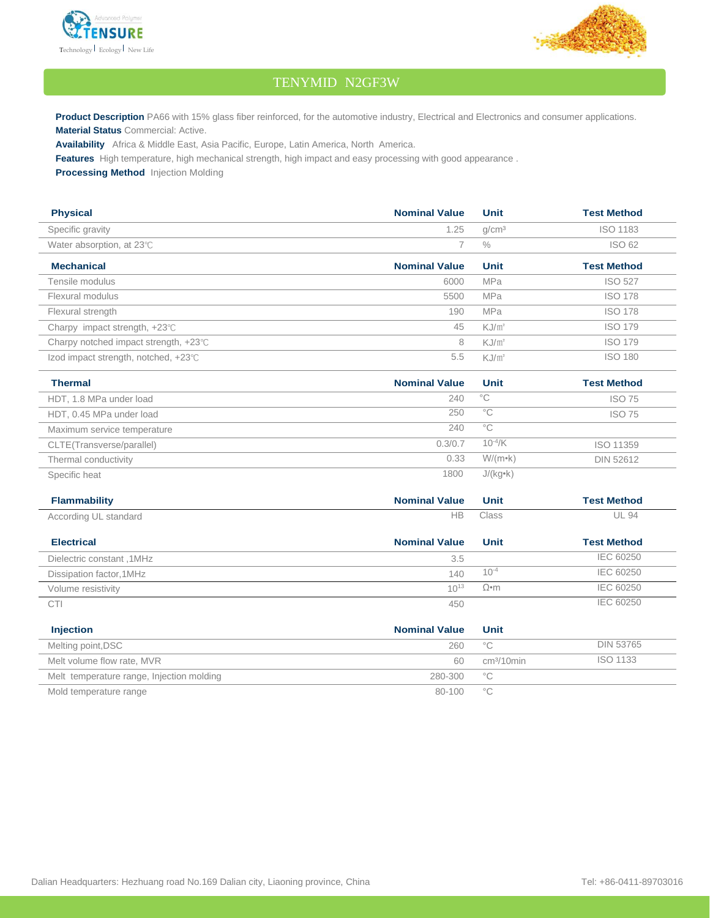



## TENYMID N2GF3W

**Product Description** PA66 with 15% glass fiber reinforced, for the automotive industry, Electrical and Electronics and consumer applications. **Material Status** Commercial: Active.

**Availability** Africa & Middle East, Asia Pacific, Europe, Latin America, North America.

**Features** High temperature, high mechanical strength, high impact and easy processing with good appearance .

**Processing Method** Injection Molding

| <b>Physical</b>                                 | <b>Nominal Value</b> | Unit              | <b>Test Method</b> |
|-------------------------------------------------|----------------------|-------------------|--------------------|
| Specific gravity                                | 1.25                 | q/cm <sup>3</sup> | <b>ISO 1183</b>    |
| Water absorption, at $23^{\circ}$ C             |                      | $\frac{0}{0}$     | <b>ISO 62</b>      |
| <b>Mechanical</b>                               | <b>Nominal Value</b> | Unit              | <b>Test Method</b> |
| Tensile modulus                                 | 6000                 | <b>MPa</b>        | <b>ISO 527</b>     |
| Flexural modulus                                | 5500                 | <b>MPa</b>        | <b>ISO 178</b>     |
| Flexural strength                               | 190                  | <b>MPa</b>        | <b>ISO 178</b>     |
| Charpy impact strength, $+23^{\circ}$ C         | 45                   | $KJ/m^2$          | <b>ISO 179</b>     |
| Charpy notched impact strength, $+23^{\circ}$ C | 8                    | $KJ/m^2$          | <b>ISO 179</b>     |
| Izod impact strength, notched, +23℃             | 5.5                  | $KJ/m^2$          | <b>ISO 180</b>     |

| <b>Thermal</b>              | <b>Nominal Value</b> | Unit             | <b>Test Method</b> |
|-----------------------------|----------------------|------------------|--------------------|
| HDT, 1.8 MPa under load     | 240                  | °C               | <b>ISO 75</b>      |
| HDT, 0.45 MPa under load    | 250                  | °C               | <b>ISO 75</b>      |
| Maximum service temperature | 240                  | $^{\circ}$ C     |                    |
| CLTE(Transverse/parallel)   | 0.3/0.7              | $10^{-4}$ /K     | ISO 11359          |
| Thermal conductivity        | 0.33                 | $W/(m \cdot k)$  | DIN 52612          |
| Specific heat               | 1800                 | $J/(kg \cdot k)$ |                    |

| <b>Flammability</b>       | <b>Nominal Value</b> | Unit        | <b>Test Method</b> |
|---------------------------|----------------------|-------------|--------------------|
| According UL standard     | HВ                   | Class       | <b>UL 94</b>       |
| <b>Electrical</b>         | <b>Nominal Value</b> | Unit        | <b>Test Method</b> |
| Dielectric constant, 1MHz | 3.5                  |             | IEC 60250          |
| Dissipation factor, 1MHz  | 140                  | $10^{-4}$   | IEC 60250          |
| Volume resistivity        | $10^{13}$            | $\Omega$ •m | IEC 60250          |
| <b>CTI</b>                | 450                  |             | IEC 60250          |

| <b>Injection</b>                          | <b>Nominal Value</b> | Unit                   |                  |
|-------------------------------------------|----------------------|------------------------|------------------|
| Melting point, DSC                        | 260                  | $^{\circ}$ C           | <b>DIN 53765</b> |
| Melt volume flow rate, MVR                | 60                   | cm <sup>3</sup> /10min | ISO 1133         |
| Melt temperature range, Injection molding | 280-300              | $^{\circ}$ C           |                  |
| Mold temperature range                    | 80-100               | °С                     |                  |